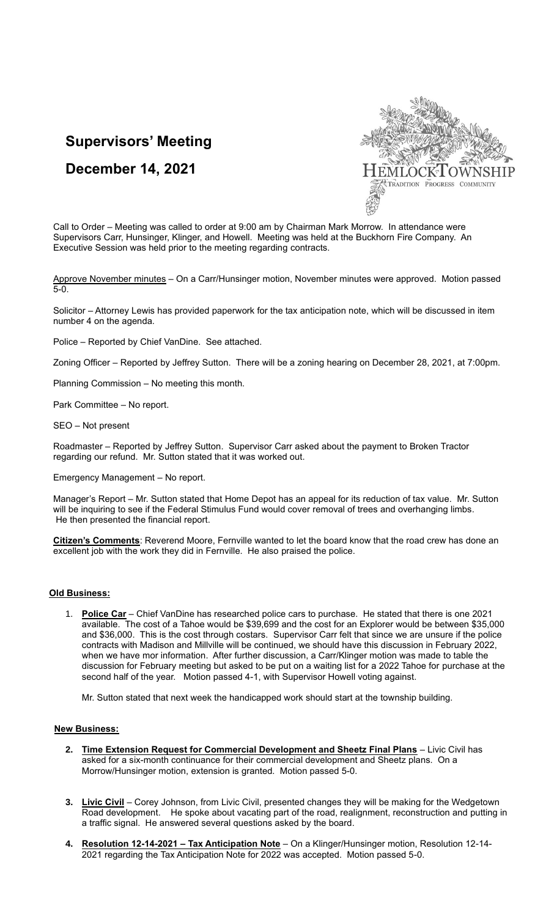# **Supervisors' Meeting**



## **December 14, 2021**

Call to Order – Meeting was called to order at 9:00 am by Chairman Mark Morrow. In attendance were Supervisors Carr, Hunsinger, Klinger, and Howell. Meeting was held at the Buckhorn Fire Company. An Executive Session was held prior to the meeting regarding contracts.

Approve November minutes - On a Carr/Hunsinger motion, November minutes were approved. Motion passed 5-0.

Solicitor – Attorney Lewis has provided paperwork for the tax anticipation note, which will be discussed in item number 4 on the agenda.

Police – Reported by Chief VanDine. See attached.

Zoning Officer – Reported by Jeffrey Sutton. There will be a zoning hearing on December 28, 2021, at 7:00pm.

Planning Commission – No meeting this month.

Park Committee – No report.

SEO – Not present

Roadmaster – Reported by Jeffrey Sutton. Supervisor Carr asked about the payment to Broken Tractor regarding our refund. Mr. Sutton stated that it was worked out.

Emergency Management – No report.

Manager's Report – Mr. Sutton stated that Home Depot has an appeal for its reduction of tax value. Mr. Sutton will be inquiring to see if the Federal Stimulus Fund would cover removal of trees and overhanging limbs. He then presented the financial report.

**Citizen's Comments**: Reverend Moore, Fernville wanted to let the board know that the road crew has done an excellent job with the work they did in Fernville. He also praised the police.

## **Old Business:**

1. **Police Car** – Chief VanDine has researched police cars to purchase. He stated that there is one 2021 available. The cost of a Tahoe would be \$39,699 and the cost for an Explorer would be between \$35,000 and \$36,000. This is the cost through costars. Supervisor Carr felt that since we are unsure if the police contracts with Madison and Millville will be continued, we should have this discussion in February 2022, when we have mor information. After further discussion, a Carr/Klinger motion was made to table the discussion for February meeting but asked to be put on a waiting list for a 2022 Tahoe for purchase at the second half of the year. Motion passed 4-1, with Supervisor Howell voting against.

Mr. Sutton stated that next week the handicapped work should start at the township building.

### **New Business:**

- **2. Time Extension Request for Commercial Development and Sheetz Final Plans** Livic Civil has asked for a six-month continuance for their commercial development and Sheetz plans. On a Morrow/Hunsinger motion, extension is granted. Motion passed 5-0.
- **3. Livic Civil** Corey Johnson, from Livic Civil, presented changes they will be making for the Wedgetown Road development. He spoke about vacating part of the road, realignment, reconstruction and putting in a traffic signal. He answered several questions asked by the board.
- **4. Resolution 12-14-2021 – Tax Anticipation Note** On a Klinger/Hunsinger motion, Resolution 12-14- 2021 regarding the Tax Anticipation Note for 2022 was accepted. Motion passed 5-0.